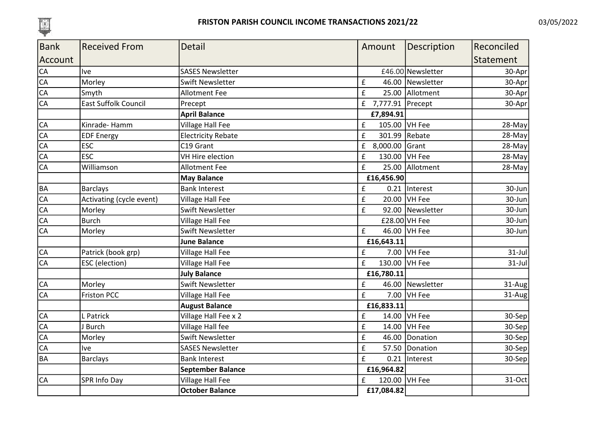

| <b>Bank</b>     | <b>Received From</b>        | <b>Detail</b>             | Amount                | Description       | Reconciled |
|-----------------|-----------------------------|---------------------------|-----------------------|-------------------|------------|
| Account         |                             |                           |                       |                   | Statement  |
| CA              | <b>Ive</b>                  | <b>SASES Newsletter</b>   |                       | £46.00 Newsletter | 30-Apr     |
| $\overline{CA}$ | Morley                      | <b>Swift Newsletter</b>   | £                     | 46.00 Newsletter  | 30-Apr     |
| CA              | Smyth                       | <b>Allotment Fee</b>      | £                     | 25.00 Allotment   | 30-Apr     |
| $\overline{CA}$ | <b>East Suffolk Council</b> | Precept                   | 7,777.91 Precept<br>f |                   | 30-Apr     |
|                 |                             | <b>April Balance</b>      | £7,894.91             |                   |            |
| <b>CA</b>       | Kinrade-Hamm                | Village Hall Fee          | 105.00 VH Fee<br>£    |                   | 28-May     |
| CA              | <b>EDF Energy</b>           | <b>Electricity Rebate</b> | £<br>301.99           | Rebate            | 28-May     |
| CA              | <b>ESC</b>                  | C19 Grant                 | £<br>8,000.00 Grant   |                   | 28-May     |
| CA              | <b>ESC</b>                  | VH Hire election          | £<br>130.00           | VH Fee            | 28-May     |
| CA              | Williamson                  | <b>Allotment Fee</b>      | £                     | 25.00 Allotment   | 28-May     |
|                 |                             | <b>May Balance</b>        | £16,456.90            |                   |            |
| <b>BA</b>       | <b>Barclays</b>             | <b>Bank Interest</b>      | £<br>0.21             | Interest          | 30-Jun     |
| CA              | Activating (cycle event)    | <b>Village Hall Fee</b>   | £<br>20.00            | VH Fee            | 30-Jun     |
| CA              | Morley                      | <b>Swift Newsletter</b>   | £                     | 92.00 Newsletter  | 30-Jun     |
| CA              | <b>Burch</b>                | Village Hall Fee          |                       | $£28.00$ VH Fee   | 30-Jun     |
| CA              | Morley                      | <b>Swift Newsletter</b>   | £                     | 46.00 VH Fee      | 30-Jun     |
|                 |                             | <b>June Balance</b>       | £16,643.11            |                   |            |
| <b>CA</b>       | Patrick (book grp)          | <b>Village Hall Fee</b>   | £                     | 7.00 VH Fee       | $31$ -Jul  |
| CA              | ESC (election)              | <b>Village Hall Fee</b>   | £<br>130.00 VH Fee    |                   | $31$ -Jul  |
|                 |                             | <b>July Balance</b>       | £16,780.11            |                   |            |
| CA              | Morley                      | Swift Newsletter          | £                     | 46.00 Newsletter  | 31-Aug     |
| CA              | <b>Friston PCC</b>          | Village Hall Fee          | £<br>7.00             | VH Fee            | 31-Aug     |
|                 |                             | <b>August Balance</b>     | £16,833.11            |                   |            |
| CA              | L Patrick                   | Village Hall Fee x 2      | £                     | 14.00 VH Fee      | 30-Sep     |
| CA              | <b>Burch</b>                | Village Hall fee          | £                     | 14.00 VH Fee      | 30-Sep     |
| CA              | Morley                      | Swift Newsletter          | £                     | 46.00 Donation    | $30-Sep$   |
| CA              | <b>Ive</b>                  | <b>SASES Newsletter</b>   | £                     | 57.50 Donation    | $30-Sep$   |
| <b>BA</b>       | <b>Barclays</b>             | <b>Bank Interest</b>      | £<br>0.21             | Interest          | 30-Sep     |
|                 |                             | <b>September Balance</b>  | £16,964.82            |                   |            |
| <b>CA</b>       | SPR Info Day                | <b>Village Hall Fee</b>   | 120.00 VH Fee<br>£    |                   | 31-Oct     |
|                 |                             | <b>October Balance</b>    | £17,084.82            |                   |            |